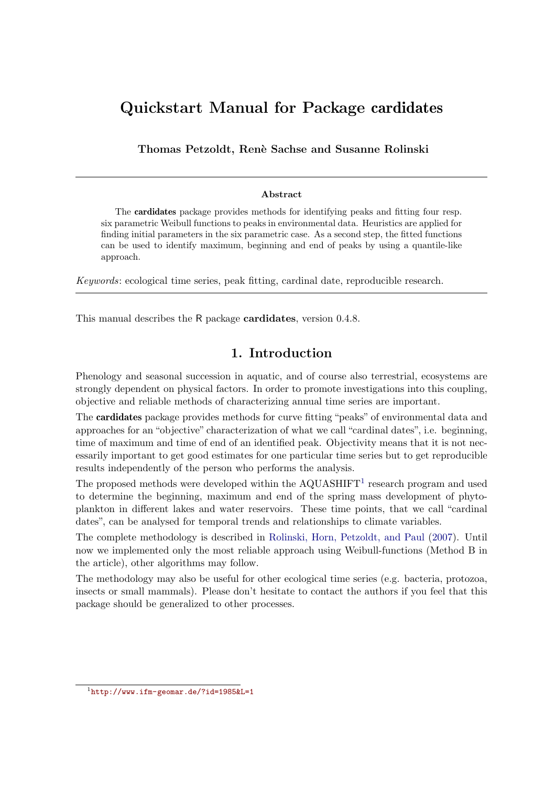# Quickstart Manual for Package cardidates

Thomas Petzoldt, Ren`e Sachse and Susanne Rolinski

### Abstract

The cardidates package provides methods for identifying peaks and fitting four resp. six parametric Weibull functions to peaks in environmental data. Heuristics are applied for finding initial parameters in the six parametric case. As a second step, the fitted functions can be used to identify maximum, beginning and end of peaks by using a quantile-like approach.

Keywords: ecological time series, peak fitting, cardinal date, reproducible research.

This manual describes the R package **cardidates**, version 0.4.8.

# 1. Introduction

Phenology and seasonal succession in aquatic, and of course also terrestrial, ecosystems are strongly dependent on physical factors. In order to promote investigations into this coupling, objective and reliable methods of characterizing annual time series are important.

The cardidates package provides methods for curve fitting "peaks" of environmental data and approaches for an "objective" characterization of what we call "cardinal dates", i.e. beginning, time of maximum and time of end of an identified peak. Objectivity means that it is not necessarily important to get good estimates for one particular time series but to get reproducible results independently of the person who performs the analysis.

The proposed methods were developed within the  $AQUASHIFT<sup>1</sup>$  $AQUASHIFT<sup>1</sup>$  $AQUASHIFT<sup>1</sup>$  research program and used to determine the beginning, maximum and end of the spring mass development of phytoplankton in different lakes and water reservoirs. These time points, that we call "cardinal dates", can be analysed for temporal trends and relationships to climate variables.

The complete methodology is described in [Rolinski, Horn, Petzoldt, and Paul](#page-10-0) [\(2007\)](#page-10-0). Until now we implemented only the most reliable approach using Weibull-functions (Method B in the article), other algorithms may follow.

The methodology may also be useful for other ecological time series (e.g. bacteria, protozoa, insects or small mammals). Please don't hesitate to contact the authors if you feel that this package should be generalized to other processes.

<span id="page-0-0"></span><sup>1</sup> <http://www.ifm-geomar.de/?id=1985&L=1>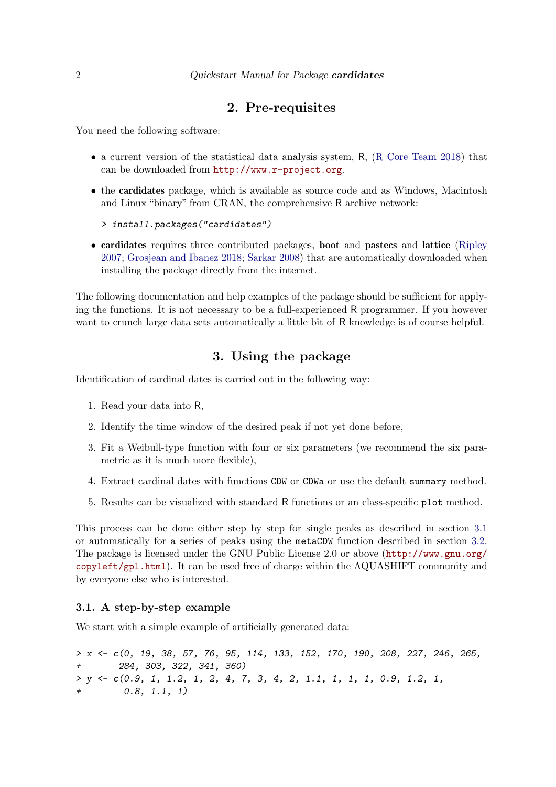### 2. Pre-requisites

You need the following software:

- a current version of the statistical data analysis system, R, [\(R Core Team 2018\)](#page-10-1) that can be downloaded from <http://www.r-project.org>.
- the **cardidates** package, which is available as source code and as Windows, Macintosh and Linux "binary" from CRAN, the comprehensive R archive network:

```
> install.packages("cardidates")
```
• cardidates requires three contributed packages, boot and pastecs and lattice [\(Ripley](#page-10-2) [2007;](#page-10-2) [Grosjean and Ibanez 2018;](#page-10-3) [Sarkar 2008\)](#page-10-4) that are automatically downloaded when installing the package directly from the internet.

The following documentation and help examples of the package should be sufficient for applying the functions. It is not necessary to be a full-experienced R programmer. If you however want to crunch large data sets automatically a little bit of R knowledge is of course helpful.

## 3. Using the package

Identification of cardinal dates is carried out in the following way:

- 1. Read your data into R,
- 2. Identify the time window of the desired peak if not yet done before,
- 3. Fit a Weibull-type function with four or six parameters (we recommend the six parametric as it is much more flexible),
- 4. Extract cardinal dates with functions CDW or CDWa or use the default summary method.
- 5. Results can be visualized with standard R functions or an class-specific plot method.

This process can be done either step by step for single peaks as described in section [3.1](#page-1-0) or automatically for a series of peaks using the metaCDW function described in section [3.2.](#page-3-0) The package is licensed under the GNU Public License 2.0 or above ([http://www.gnu.org/](http://www.gnu.org/copyleft/gpl.html) [copyleft/gpl.html](http://www.gnu.org/copyleft/gpl.html)). It can be used free of charge within the AQUASHIFT community and by everyone else who is interested.

### <span id="page-1-0"></span>3.1. A step-by-step example

We start with a simple example of artificially generated data:

*> x <- c(0, 19, 38, 57, 76, 95, 114, 133, 152, 170, 190, 208, 227, 246, 265, + 284, 303, 322, 341, 360) > y <- c(0.9, 1, 1.2, 1, 2, 4, 7, 3, 4, 2, 1.1, 1, 1, 1, 0.9, 1.2, 1, + 0.8, 1.1, 1)*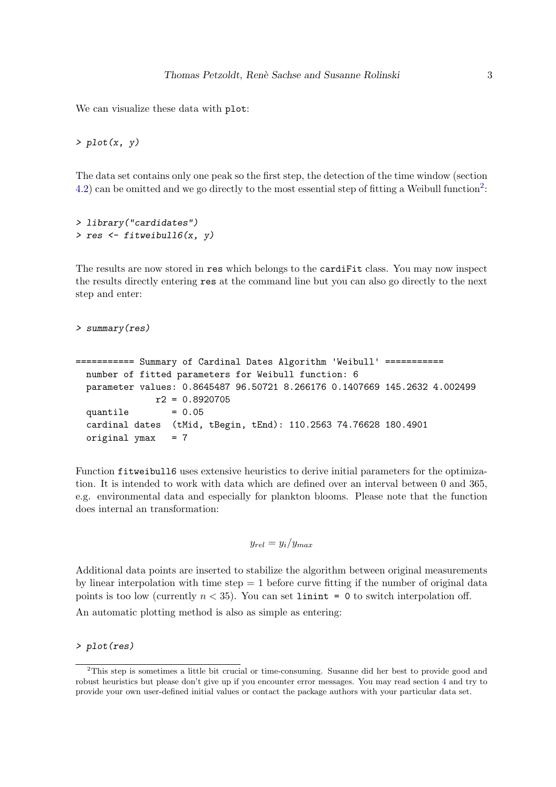We can visualize these data with plot:

*> plot(x, y)*

The data set contains only one peak so the first step, the detection of the time window (section [4.2\)](#page-6-0) can be omitted and we go directly to the most essential step of fitting a Weibull function<sup>[2](#page-2-0)</sup>:

```
> library("cardidates")
> res <- fitweibull6(x, y)
```
The results are now stored in res which belongs to the cardiFit class. You may now inspect the results directly entering res at the command line but you can also go directly to the next step and enter:

```
> summary(res)
```

```
=========== Summary of Cardinal Dates Algorithm 'Weibull' ===========
 number of fitted parameters for Weibull function: 6
 parameter values: 0.8645487 96.50721 8.266176 0.1407669 145.2632 4.002499
              r2 = 0.8920705
 quantile = 0.05cardinal dates (tMid, tBegin, tEnd): 110.2563 74.76628 180.4901
 original ymax = 7
```
Function fitweibull6 uses extensive heuristics to derive initial parameters for the optimization. It is intended to work with data which are defined over an interval between 0 and 365, e.g. environmental data and especially for plankton blooms. Please note that the function does internal an transformation:

$$
y_{rel} = y_i/y_{max}
$$

Additional data points are inserted to stabilize the algorithm between original measurements by linear interpolation with time step  $= 1$  before curve fitting if the number of original data points is too low (currently  $n < 35$ ). You can set limint = 0 to switch interpolation off.

An automatic plotting method is also as simple as entering:

*> plot(res)*

<span id="page-2-0"></span><sup>2</sup>This step is sometimes a little bit crucial or time-consuming. Susanne did her best to provide good and robust heuristics but please don't give up if you encounter error messages. You may read section [4](#page-6-1) and try to provide your own user-defined initial values or contact the package authors with your particular data set.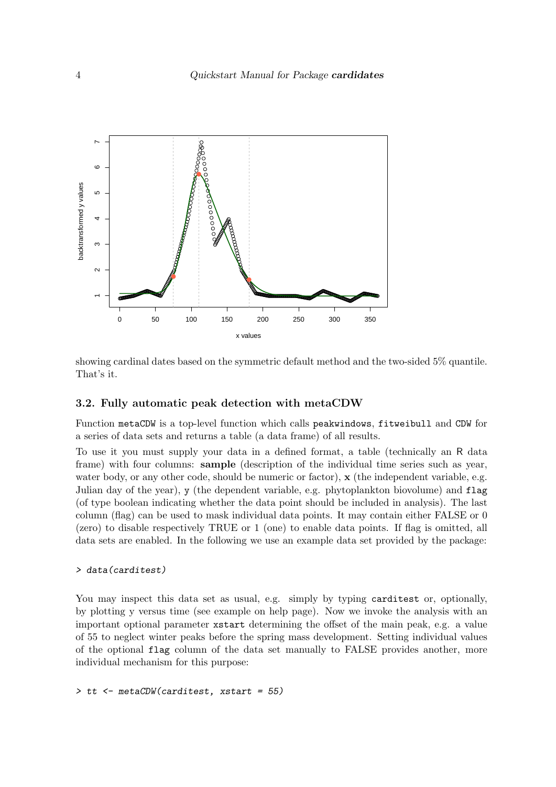

showing cardinal dates based on the symmetric default method and the two-sided 5% quantile. That's it.

### <span id="page-3-0"></span>3.2. Fully automatic peak detection with metaCDW

Function metaCDW is a top-level function which calls peakwindows, fitweibull and CDW for a series of data sets and returns a table (a data frame) of all results.

To use it you must supply your data in a defined format, a table (technically an R data frame) with four columns: sample (description of the individual time series such as year, water body, or any other code, should be numeric or factor),  $\mathbf x$  (the independent variable, e.g. Julian day of the year), y (the dependent variable, e.g. phytoplankton biovolume) and flag (of type boolean indicating whether the data point should be included in analysis). The last column (flag) can be used to mask individual data points. It may contain either FALSE or 0 (zero) to disable respectively TRUE or 1 (one) to enable data points. If flag is omitted, all data sets are enabled. In the following we use an example data set provided by the package:

### *> data(carditest)*

You may inspect this data set as usual, e.g. simply by typing carditest or, optionally, by plotting y versus time (see example on help page). Now we invoke the analysis with an important optional parameter xstart determining the offset of the main peak, e.g. a value of 55 to neglect winter peaks before the spring mass development. Setting individual values of the optional flag column of the data set manually to FALSE provides another, more individual mechanism for this purpose:

*> tt <- metaCDW(carditest, xstart = 55)*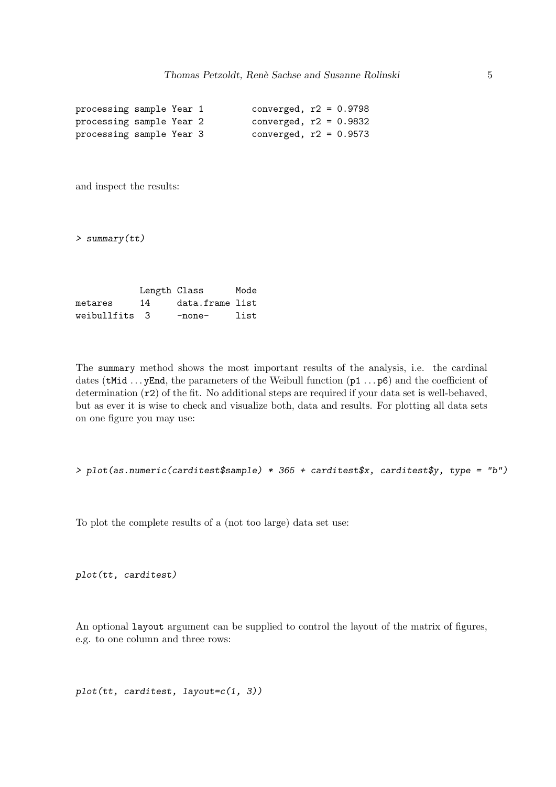```
processing sample Year 1 converged, r2 = 0.9798processing sample Year 2 converged, r2 = 0.9832
processing sample Year 3 converged, r2 = 0.9573
```
and inspect the results:

*> summary(tt)*

Length Class Mode metares 14 data.frame list weibullfits 3 -none- list

The summary method shows the most important results of the analysis, i.e. the cardinal dates (tMid  $\ldots$  yEnd, the parameters of the Weibull function (p1  $\ldots$  p6) and the coefficient of determination (r2) of the fit. No additional steps are required if your data set is well-behaved, but as ever it is wise to check and visualize both, data and results. For plotting all data sets on one figure you may use:

```
> plot(as.numeric(carditest$sample) * 365 + carditest$x, carditest$y, type = "b")
```
To plot the complete results of a (not too large) data set use:

*plot(tt, carditest)*

An optional layout argument can be supplied to control the layout of the matrix of figures, e.g. to one column and three rows:

*plot(tt, carditest, layout=c(1, 3))*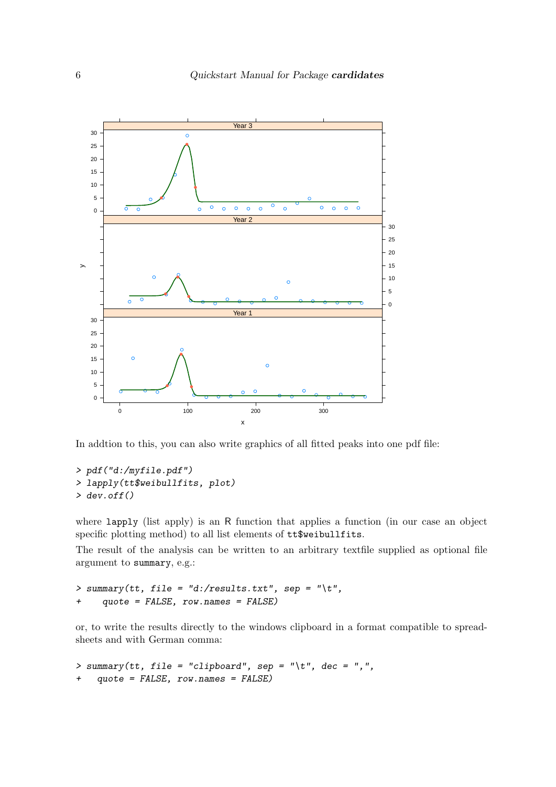

In addtion to this, you can also write graphics of all fitted peaks into one pdf file:

```
> pdf("d:/myfile.pdf")
> lapply(tt$weibullfits, plot)
> dev.off()
```
where lapply (list apply) is an R function that applies a function (in our case an object specific plotting method) to all list elements of tt\$weibullfits.

The result of the analysis can be written to an arbitrary textfile supplied as optional file argument to summary, e.g.:

```
> summary(tt, file = "d:/results.txt", sep = "\t",
+ quote = FALSE, row.names = FALSE)
```
or, to write the results directly to the windows clipboard in a format compatible to spreadsheets and with German comma:

```
> summary(tt, file = "clipboard", sep = "\t", dec = ",",
+ quote = FALSE, row.names = FALSE)
```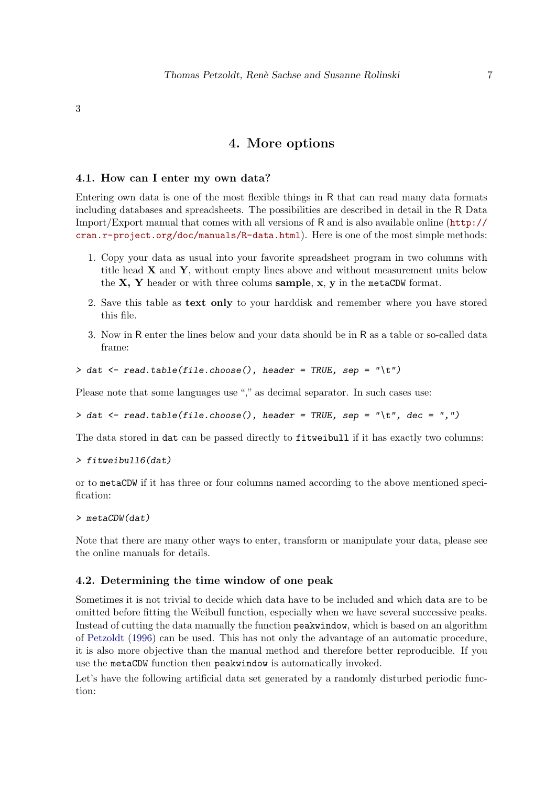<span id="page-6-1"></span>3

# 4. More options

#### 4.1. How can I enter my own data?

Entering own data is one of the most flexible things in R that can read many data formats including databases and spreadsheets. The possibilities are described in detail in the R Data Import/Export manual that comes with all versions of R and is also available online ([http://](http://cran.r-project.org/doc/manuals/R-data.html) [cran.r-project.org/doc/manuals/R-data.html](http://cran.r-project.org/doc/manuals/R-data.html)). Here is one of the most simple methods:

- 1. Copy your data as usual into your favorite spreadsheet program in two columns with title head  $X$  and  $Y$ , without empty lines above and without measurement units below the  $X$ ,  $Y$  header or with three colums sample,  $x$ ,  $y$  in the metaCDW format.
- 2. Save this table as text only to your harddisk and remember where you have stored this file.
- 3. Now in R enter the lines below and your data should be in R as a table or so-called data frame:
- *> dat <- read.table(file.choose(), header = TRUE, sep = "\t")*

Please note that some languages use "," as decimal separator. In such cases use:

*> dat <- read.table(file.choose(), header = TRUE, sep = "\t", dec = ",")*

The data stored in dat can be passed directly to fitweibull if it has exactly two columns:

```
> fitweibull6(dat)
```
or to metaCDW if it has three or four columns named according to the above mentioned specification:

*> metaCDW(dat)*

Note that there are many other ways to enter, transform or manipulate your data, please see the online manuals for details.

### <span id="page-6-0"></span>4.2. Determining the time window of one peak

Sometimes it is not trivial to decide which data have to be included and which data are to be omitted before fitting the Weibull function, especially when we have several successive peaks. Instead of cutting the data manually the function peakwindow, which is based on an algorithm of [Petzoldt](#page-10-5) [\(1996\)](#page-10-5) can be used. This has not only the advantage of an automatic procedure, it is also more objective than the manual method and therefore better reproducible. If you use the metaCDW function then peakwindow is automatically invoked.

Let's have the following artificial data set generated by a randomly disturbed periodic function: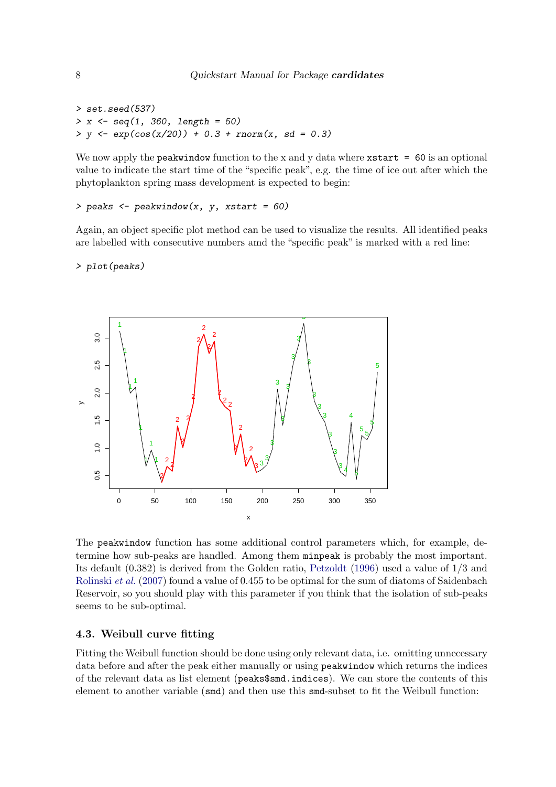```
> set.seed(537)
> x <- seq(1, 360, length = 50)
> y <- exp(cos(x/20)) + 0.3 + rnorm(x, sd = 0.3)
```
We now apply the **peakwindow** function to the x and y data where  $x$ **start = 60** is an optional value to indicate the start time of the "specific peak", e.g. the time of ice out after which the phytoplankton spring mass development is expected to begin:

```
> peaks <- peakwindow(x, y, xstart = 60)
```
Again, an object specific plot method can be used to visualize the results. All identified peaks are labelled with consecutive numbers amd the "specific peak" is marked with a red line:

*> plot(peaks)*



The peakwindow function has some additional control parameters which, for example, determine how sub-peaks are handled. Among them minpeak is probably the most important. Its default (0.382) is derived from the Golden ratio, [Petzoldt](#page-10-5) [\(1996\)](#page-10-5) used a value of 1/3 and [Rolinski](#page-10-0) et al. [\(2007\)](#page-10-0) found a value of 0.455 to be optimal for the sum of diatoms of Saidenbach Reservoir, so you should play with this parameter if you think that the isolation of sub-peaks seems to be sub-optimal.

### 4.3. Weibull curve fitting

Fitting the Weibull function should be done using only relevant data, i.e. omitting unnecessary data before and after the peak either manually or using peakwindow which returns the indices of the relevant data as list element (peaks\$smd.indices). We can store the contents of this element to another variable (smd) and then use this smd-subset to fit the Weibull function: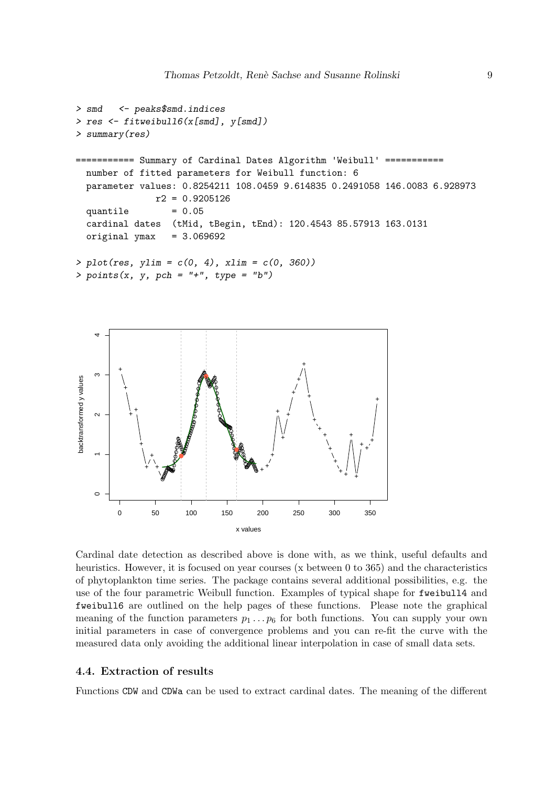```
> smd <- peaks$smd.indices
> res <- fitweibull6(x[smd], y[smd])
> summary(res)
=========== Summary of Cardinal Dates Algorithm 'Weibull'
 number of fitted parameters for Weibull function: 6
 parameter values: 0.8254211 108.0459 9.614835 0.2491058 146.0083 6.928973
              r2 = 0.9205126
 quantile = 0.05cardinal dates (tMid, tBegin, tEnd): 120.4543 85.57913 163.0131
 original ymax = 3.069692> plot(res, ylim = c(0, 4), xlim = c(0, 360))
> points(x, y, pch = "+", type = "b")
```


Cardinal date detection as described above is done with, as we think, useful defaults and heuristics. However, it is focused on year courses (x between 0 to 365) and the characteristics of phytoplankton time series. The package contains several additional possibilities, e.g. the use of the four parametric Weibull function. Examples of typical shape for fweibull4 and fweibull6 are outlined on the help pages of these functions. Please note the graphical meaning of the function parameters  $p_1 \nvert p_6$  for both functions. You can supply your own initial parameters in case of convergence problems and you can re-fit the curve with the measured data only avoiding the additional linear interpolation in case of small data sets.

### 4.4. Extraction of results

Functions CDW and CDWa can be used to extract cardinal dates. The meaning of the different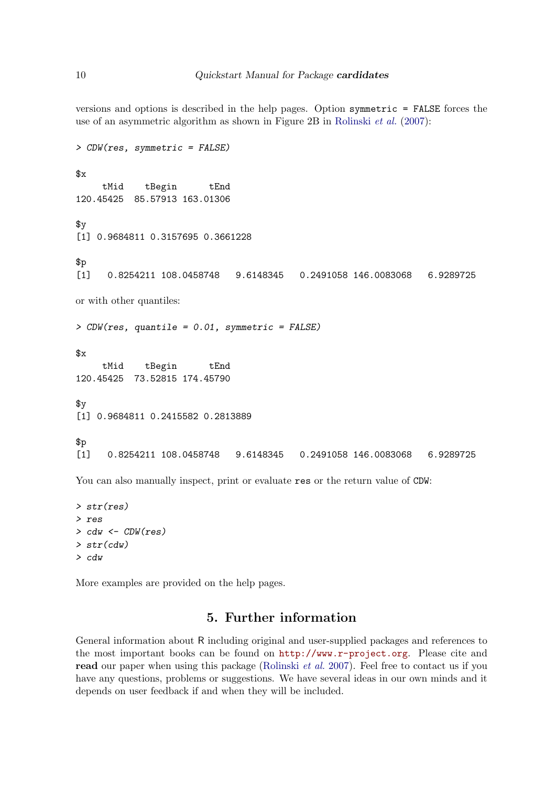versions and options is described in the help pages. Option symmetric = FALSE forces the use of an asymmetric algorithm as shown in Figure 2B in [Rolinski](#page-10-0) et al.  $(2007)$ :

```
> CDW(res, symmetric = FALSE)
x<sub>g</sub>tMid tBegin tEnd
120.45425 85.57913 163.01306
v[1] 0.9684811 0.3157695 0.3661228
$p
[1] 0.8254211 108.0458748 9.6148345 0.2491058 146.0083068 6.9289725
or with other quantiles:
> CDW(res, quantile = 0.01, symmetric = FALSE)
$x
     tMid tBegin tEnd
120.45425 73.52815 174.45790
\gamma[1] 0.9684811 0.2415582 0.2813889
$p
[1] 0.8254211 108.0458748 9.6148345 0.2491058 146.0083068 6.9289725
```
You can also manually inspect, print or evaluate res or the return value of  $CDW$ :

```
> str(res)
> res
> cdw <- CDW(res)
> str(cdw)
> cdw
```
More examples are provided on the help pages.

## 5. Further information

General information about R including original and user-supplied packages and references to the most important books can be found on <http://www.r-project.org>. Please cite and read our paper when using this package [\(Rolinski](#page-10-0) *et al.* [2007\)](#page-10-0). Feel free to contact us if you have any questions, problems or suggestions. We have several ideas in our own minds and it depends on user feedback if and when they will be included.